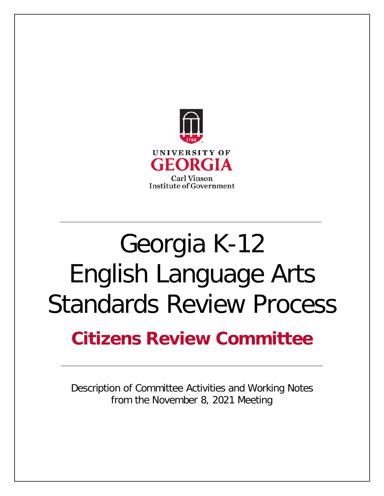

# Georgia K-12 English Language Arts Standards Review Process

# **Citizens Review Committee**

Description of Committee Activities and Working Notes from the November 8, 2021 Meeting

**Standards Review Process**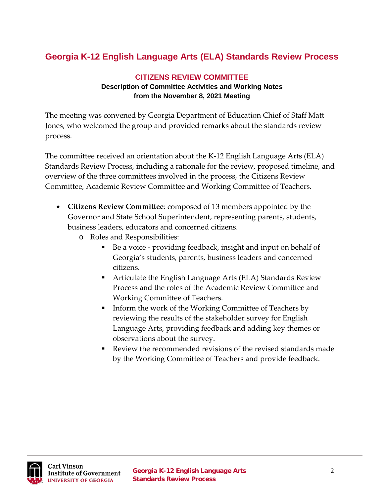## **Georgia K-12 English Language Arts (ELA) Standards Review Process**

#### **CITIZENS REVIEW COMMITTEE Description of Committee Activities and Working Notes from the November 8, 2021 Meeting**

The meeting was convened by Georgia Department of Education Chief of Staff Matt Jones, who welcomed the group and provided remarks about the standards review process.

The committee received an orientation about the K-12 English Language Arts (ELA) Standards Review Process, including a rationale for the review, proposed timeline, and overview of the three committees involved in the process, the Citizens Review Committee, Academic Review Committee and Working Committee of Teachers.

- **Citizens Review Committee**: composed of 13 members appointed by the Governor and State School Superintendent, representing parents, students, business leaders, educators and concerned citizens.
	- o Roles and Responsibilities:
		- Be a voice providing feedback, insight and input on behalf of Georgia's students, parents, business leaders and concerned citizens.
		- Articulate the English Language Arts (ELA) Standards Review Process and the roles of the Academic Review Committee and Working Committee of Teachers.
		- Inform the work of the Working Committee of Teachers by reviewing the results of the stakeholder survey for English Language Arts, providing feedback and adding key themes or observations about the survey.
		- Review the recommended revisions of the revised standards made by the Working Committee of Teachers and provide feedback.

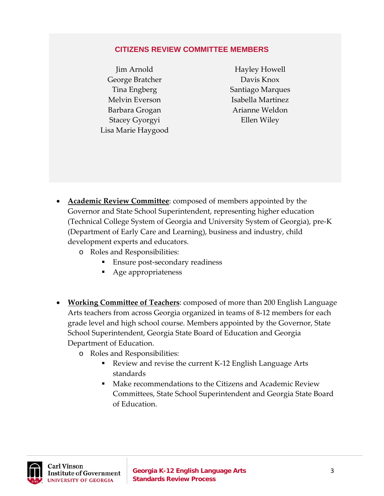#### **CITIZENS REVIEW COMMITTEE MEMBERS**

Jim Arnold George Bratcher Tina Engberg Melvin Everson Barbara Grogan Stacey Gyorgyi Lisa Marie Haygood

Hayley Howell Davis Knox Santiago Marques Isabella Martinez Arianne Weldon Ellen Wiley

- **Academic Review Committee**: composed of members appointed by the Governor and State School Superintendent, representing higher education (Technical College System of Georgia and University System of Georgia), pre-K (Department of Early Care and Learning), business and industry, child development experts and educators.
	- o Roles and Responsibilities:
		- **Ensure post-secondary readiness**
		- Age appropriateness
- **Working Committee of Teachers**: composed of more than 200 English Language Arts teachers from across Georgia organized in teams of 8-12 members for each grade level and high school course. Members appointed by the Governor, State School Superintendent, Georgia State Board of Education and Georgia Department of Education.
	- o Roles and Responsibilities:
		- Review and revise the current K-12 English Language Arts standards
		- Make recommendations to the Citizens and Academic Review Committees, State School Superintendent and Georgia State Board of Education.

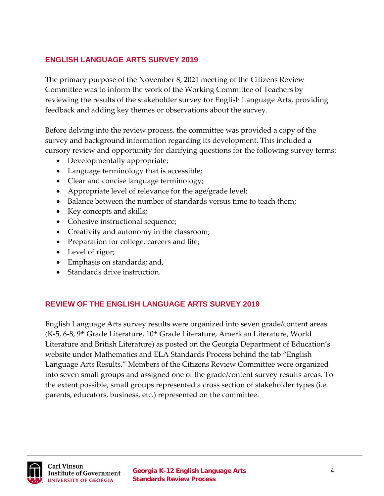#### **ENGLISH LANGUAGE ARTS SURVEY 2019**

The primary purpose of the November 8, 2021 meeting of the Citizens Review Committee was to inform the work of the Working Committee of Teachers by reviewing the results of the stakeholder survey for English Language Arts, providing feedback and adding key themes or observations about the survey.

Before delving into the review process, the committee was provided a copy of the survey and background information regarding its development. This included a cursory review and opportunity for clarifying questions for the following survey terms:

- Developmentally appropriate;
- Language terminology that is accessible;
- Clear and concise language terminology;
- Appropriate level of relevance for the age/grade level;
- Balance between the number of standards versus time to teach them;
- Key concepts and skills;
- Cohesive instructional sequence;
- Creativity and autonomy in the classroom;
- Preparation for college, careers and life;
- Level of rigor;
- Emphasis on standards; and,
- Standards drive instruction.

#### **REVIEW OF THE ENGLISH LANGUAGE ARTS SURVEY 2019**

English Language Arts survey results were organized into seven grade/content areas  $(K-5, 6-8, 9<sup>th</sup>$  Grade Literature,  $10<sup>th</sup>$  Grade Literature, American Literature, World Literature and British Literature) as posted on the Georgia Department of Education's website under Mathematics and ELA Standards Process behind the tab "English Language Arts Results." Members of the Citizens Review Committee were organized into seven small groups and assigned one of the grade/content survey results areas. To the extent possible, small groups represented a cross section of stakeholder types (i.e. parents, educators, business, etc.) represented on the committee.

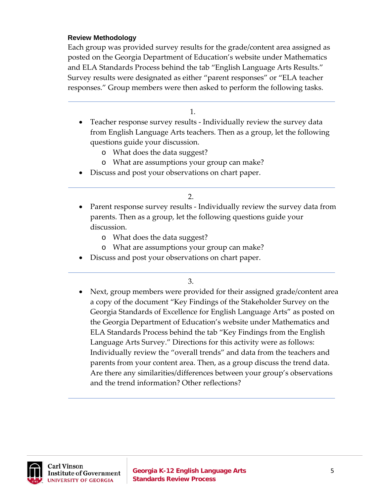#### **Review Methodology**

 $\overline{a}$ 

Each group was provided survey results for the grade/content area assigned as posted on the Georgia Department of Education's website under Mathematics and ELA Standards Process behind the tab "English Language Arts Results." Survey results were designated as either "parent responses" or "ELA teacher responses." Group members were then asked to perform the following tasks.

1.

- Teacher response survey results Individually review the survey data from English Language Arts teachers. Then as a group, let the following questions guide your discussion.
	- o What does the data suggest?
	- o What are assumptions your group can make?
- Discuss and post your observations on chart paper.

2.

- Parent response survey results Individually review the survey data from parents. Then as a group, let the following questions guide your discussion.
	- o What does the data suggest?
	- o What are assumptions your group can make?
- Discuss and post your observations on chart paper.

3.

• Next, group members were provided for their assigned grade/content area a copy of the document "Key Findings of the Stakeholder Survey on the Georgia Standards of Excellence for English Language Arts" as posted on the Georgia Department of Education's website under Mathematics and ELA Standards Process behind the tab "Key Findings from the English Language Arts Survey." Directions for this activity were as follows: Individually review the "overall trends" and data from the teachers and parents from your content area. Then, as a group discuss the trend data. Are there any similarities/differences between your group's observations and the trend information? Other reflections?

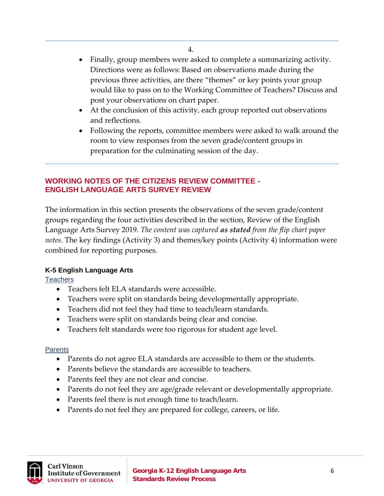- Finally, group members were asked to complete a summarizing activity. Directions were as follows: Based on observations made during the previous three activities, are there "themes" or key points your group would like to pass on to the Working Committee of Teachers? Discuss and post your observations on chart paper.
- At the conclusion of this activity, each group reported out observations and reflections.
- Following the reports, committee members were asked to walk around the room to view responses from the seven grade/content groups in preparation for the culminating session of the day.

#### **WORKING NOTES OF THE CITIZENS REVIEW COMMITTEE - ENGLISH LANGUAGE ARTS SURVEY REVIEW**

The information in this section presents the observations of the seven grade/content groups regarding the four activities described in the section, Review of the English Language Arts Survey 2019. *The content was captured as stated from the flip chart paper notes.* The key findings (Activity 3) and themes/key points (Activity 4) information were combined for reporting purposes*.*

#### **K-5 English Language Arts**

 $\overline{\phantom{a}}$ 

**Teachers** 

 $\overline{a}$ 

- Teachers felt ELA standards were accessible.
- Teachers were split on standards being developmentally appropriate.
- Teachers did not feel they had time to teach/learn standards.
- Teachers were split on standards being clear and concise.
- Teachers felt standards were too rigorous for student age level.

- Parents do not agree ELA standards are accessible to them or the students.
- Parents believe the standards are accessible to teachers.
- Parents feel they are not clear and concise.
- Parents do not feel they are age/grade relevant or developmentally appropriate.
- Parents feel there is not enough time to teach/learn.
- Parents do not feel they are prepared for college, careers, or life.

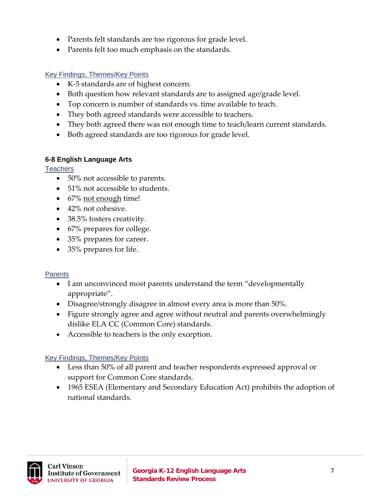- Parents felt standards are too rigorous for grade level.
- Parents felt too much emphasis on the standards.

- K-5 standards are of highest concern.
- Both question how relevant standards are to assigned age/grade level.
- Top concern is number of standards vs. time available to teach.
- They both agreed standards were accessible to teachers.
- They both agreed there was not enough time to teach/learn current standards.
- Both agreed standards are too rigorous for grade level.

#### **6-8 English Language Arts**

**Teachers** 

- 50% not accessible to parents.
- 51% not accessible to students.
- 67% not enough time!
- 42% not cohesive.
- 38.5% fosters creativity.
- 67% prepares for college.
- 35% prepares for career.
- 35% prepares for life.

#### **Parents**

- I am unconvinced most parents understand the term "developmentally appropriate".
- Disagree/strongly disagree in almost every area is more than 50%.
- Figure strongly agree and agree without neutral and parents overwhelmingly dislike ELA CC (Common Core) standards.
- Accessible to teachers is the only exception.

#### **Key Findings, Themes/Key Points**

- Less than 50% of all parent and teacher respondents expressed approval or support for Common Core standards.
- 1965 ESEA (Elementary and Secondary Education Act) prohibits the adoption of national standards.

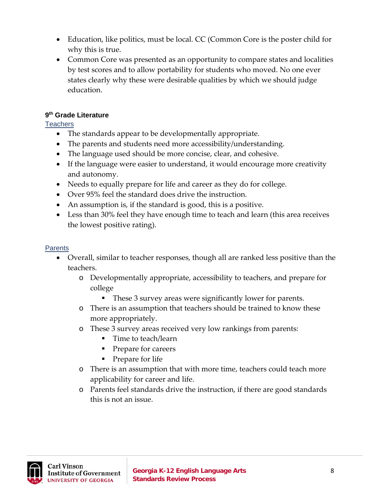- Education, like politics, must be local. CC (Common Core is the poster child for why this is true.
- Common Core was presented as an opportunity to compare states and localities by test scores and to allow portability for students who moved. No one ever states clearly why these were desirable qualities by which we should judge education.

#### **9th Grade Literature**

#### **Teachers**

- The standards appear to be developmentally appropriate.
- The parents and students need more accessibility/understanding.
- The language used should be more concise, clear, and cohesive.
- If the language were easier to understand, it would encourage more creativity and autonomy.
- Needs to equally prepare for life and career as they do for college.
- Over 95% feel the standard does drive the instruction.
- An assumption is, if the standard is good, this is a positive.
- Less than 30% feel they have enough time to teach and learn (this area receives the lowest positive rating).

- Overall, similar to teacher responses, though all are ranked less positive than the teachers.
	- o Developmentally appropriate, accessibility to teachers, and prepare for college
		- These 3 survey areas were significantly lower for parents.
	- o There is an assumption that teachers should be trained to know these more appropriately.
	- o These 3 survey areas received very low rankings from parents:
		- **Time to teach/learn**
		- Prepare for careers
		- Prepare for life
	- o There is an assumption that with more time, teachers could teach more applicability for career and life.
	- o Parents feel standards drive the instruction, if there are good standards this is not an issue.

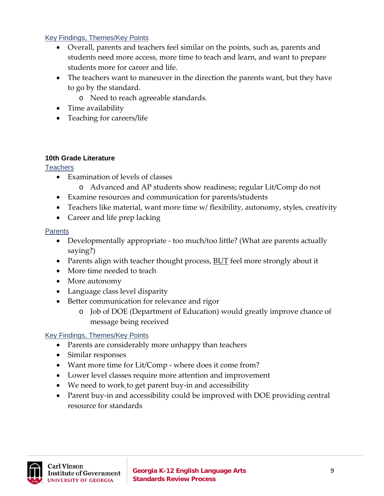- Overall, parents and teachers feel similar on the points, such as, parents and students need more access, more time to teach and learn, and want to prepare students more for career and life.
- The teachers want to maneuver in the direction the parents want, but they have to go by the standard.
	- o Need to reach agreeable standards.
- Time availability
- Teaching for careers/life

#### **10th Grade Literature**

#### Teachers

- Examination of levels of classes
	- o Advanced and AP students show readiness; regular Lit/Comp do not
- Examine resources and communication for parents/students
- Teachers like material, want more time w/ flexibility, autonomy, styles, creativity
- Career and life prep lacking

#### **Parents**

- Developmentally appropriate too much/too little? (What are parents actually saying?)
- Parents align with teacher thought process, **BUT** feel more strongly about it
- More time needed to teach
- More autonomy
- Language class level disparity
- Better communication for relevance and rigor
	- o Job of DOE (Department of Education) would greatly improve chance of message being received

#### Key Findings, Themes/Key Points

- Parents are considerably more unhappy than teachers
- Similar responses
- Want more time for Lit/Comp where does it come from?
- Lower level classes require more attention and improvement
- We need to work to get parent buy-in and accessibility
- Parent buy-in and accessibility could be improved with DOE providing central resource for standards

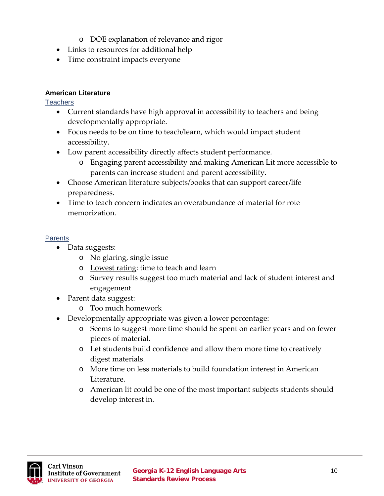- o DOE explanation of relevance and rigor
- Links to resources for additional help
- Time constraint impacts everyone

#### **American Literature**

**Teachers** 

- Current standards have high approval in accessibility to teachers and being developmentally appropriate.
- Focus needs to be on time to teach/learn, which would impact student accessibility.
- Low parent accessibility directly affects student performance.
	- o Engaging parent accessibility and making American Lit more accessible to parents can increase student and parent accessibility.
- Choose American literature subjects/books that can support career/life preparedness.
- Time to teach concern indicates an overabundance of material for rote memorization.

- Data suggests:
	- o No glaring, single issue
	- o Lowest rating: time to teach and learn
	- o Survey results suggest too much material and lack of student interest and engagement
- Parent data suggest:
	- o Too much homework
- Developmentally appropriate was given a lower percentage:
	- o Seems to suggest more time should be spent on earlier years and on fewer pieces of material.
	- o Let students build confidence and allow them more time to creatively digest materials.
	- o More time on less materials to build foundation interest in American Literature.
	- o American lit could be one of the most important subjects students should develop interest in.

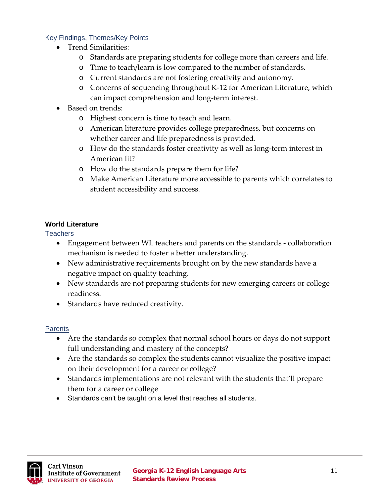- Trend Similarities:
	- o Standards are preparing students for college more than careers and life.
	- o Time to teach/learn is low compared to the number of standards.
	- o Current standards are not fostering creativity and autonomy.
	- o Concerns of sequencing throughout K-12 for American Literature, which can impact comprehension and long-term interest.
- Based on trends:
	- o Highest concern is time to teach and learn.
	- o American literature provides college preparedness, but concerns on whether career and life preparedness is provided.
	- o How do the standards foster creativity as well as long-term interest in American lit?
	- o How do the standards prepare them for life?
	- o Make American Literature more accessible to parents which correlates to student accessibility and success.

#### **World Literature**

#### **Teachers**

- Engagement between WL teachers and parents on the standards collaboration mechanism is needed to foster a better understanding.
- New administrative requirements brought on by the new standards have a negative impact on quality teaching.
- New standards are not preparing students for new emerging careers or college readiness.
- Standards have reduced creativity.

- Are the standards so complex that normal school hours or days do not support full understanding and mastery of the concepts?
- Are the standards so complex the students cannot visualize the positive impact on their development for a career or college?
- Standards implementations are not relevant with the students that'll prepare them for a career or college
- Standards can't be taught on a level that reaches all students.

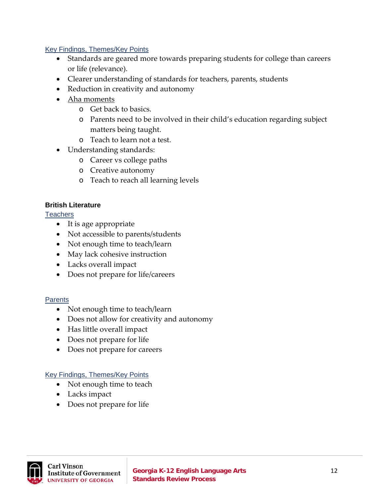- Standards are geared more towards preparing students for college than careers or life (relevance).
- Clearer understanding of standards for teachers, parents, students
- Reduction in creativity and autonomy
- Aha moments
	- o Get back to basics.
	- o Parents need to be involved in their child's education regarding subject matters being taught.
	- o Teach to learn not a test.
- Understanding standards:
	- o Career vs college paths
	- o Creative autonomy
	- o Teach to reach all learning levels

#### **British Literature**

Teachers

- It is age appropriate
- Not accessible to parents/students
- Not enough time to teach/learn
- May lack cohesive instruction
- Lacks overall impact
- Does not prepare for life/careers

#### **Parents**

- Not enough time to teach/learn
- Does not allow for creativity and autonomy
- Has little overall impact
- Does not prepare for life
- Does not prepare for careers

#### Key Findings, Themes/Key Points

- Not enough time to teach
- Lacks impact
- Does not prepare for life

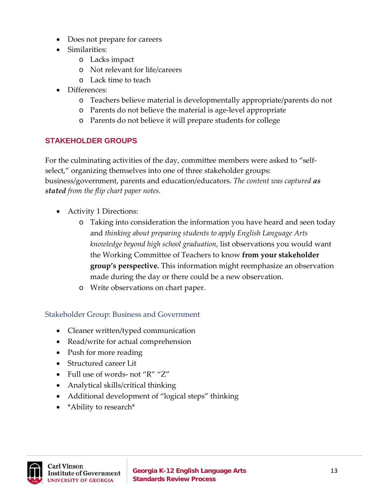- Does not prepare for careers
- Similarities:
	- o Lacks impact
	- o Not relevant for life/careers
	- o Lack time to teach
- Differences:
	- o Teachers believe material is developmentally appropriate/parents do not
	- o Parents do not believe the material is age-level appropriate
	- o Parents do not believe it will prepare students for college

#### **STAKEHOLDER GROUPS**

For the culminating activities of the day, committee members were asked to "selfselect," organizing themselves into one of three stakeholder groups: business/government, parents and education/educators. *The content was captured as stated from the flip chart paper notes.*

- Activity 1 Directions:
	- o Taking into consideration the information you have heard and seen today and *thinking about preparing students to apply English Language Arts knowledge beyond high school graduation*, list observations you would want the Working Committee of Teachers to know **from your stakeholder group's perspective.** This information might reemphasize an observation made during the day or there could be a new observation.
	- o Write observations on chart paper.

#### Stakeholder Group: Business and Government

- Cleaner written/typed communication
- Read/write for actual comprehension
- Push for more reading
- Structured career Lit
- Full use of words- not "R" "Z"
- Analytical skills/critical thinking
- Additional development of "logical steps" thinking
- \*Ability to research\*

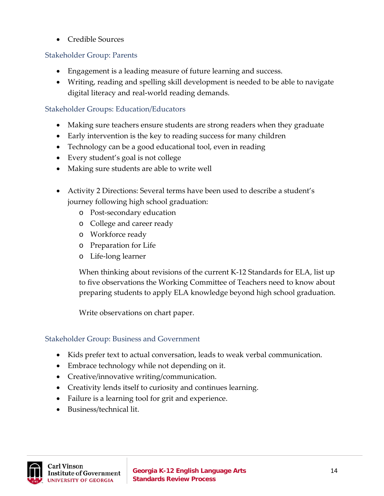• Credible Sources

#### Stakeholder Group: Parents

- Engagement is a leading measure of future learning and success.
- Writing, reading and spelling skill development is needed to be able to navigate digital literacy and real-world reading demands.

#### Stakeholder Groups: Education/Educators

- Making sure teachers ensure students are strong readers when they graduate
- Early intervention is the key to reading success for many children
- Technology can be a good educational tool, even in reading
- Every student's goal is not college
- Making sure students are able to write well
- Activity 2 Directions: Several terms have been used to describe a student's journey following high school graduation:
	- o Post-secondary education
	- o College and career ready
	- o Workforce ready
	- o Preparation for Life
	- o Life-long learner

When thinking about revisions of the current K-12 Standards for ELA, list up to five observations the Working Committee of Teachers need to know about preparing students to apply ELA knowledge beyond high school graduation.

Write observations on chart paper.

#### Stakeholder Group: Business and Government

- Kids prefer text to actual conversation, leads to weak verbal communication.
- Embrace technology while not depending on it.
- Creative/innovative writing/communication.
- Creativity lends itself to curiosity and continues learning.
- Failure is a learning tool for grit and experience.
- Business/technical lit.

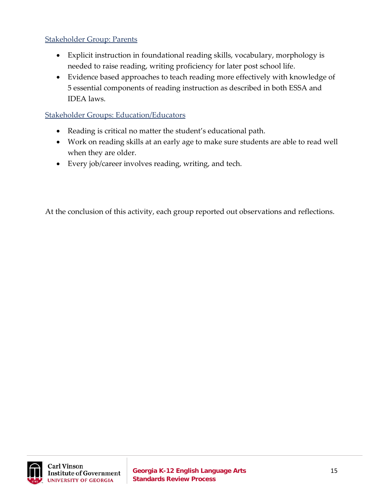#### Stakeholder Group: Parents

- Explicit instruction in foundational reading skills, vocabulary, morphology is needed to raise reading, writing proficiency for later post school life.
- Evidence based approaches to teach reading more effectively with knowledge of 5 essential components of reading instruction as described in both ESSA and IDEA laws.

#### Stakeholder Groups: Education/Educators

- Reading is critical no matter the student's educational path.
- Work on reading skills at an early age to make sure students are able to read well when they are older.
- Every job/career involves reading, writing, and tech.

At the conclusion of this activity, each group reported out observations and reflections.